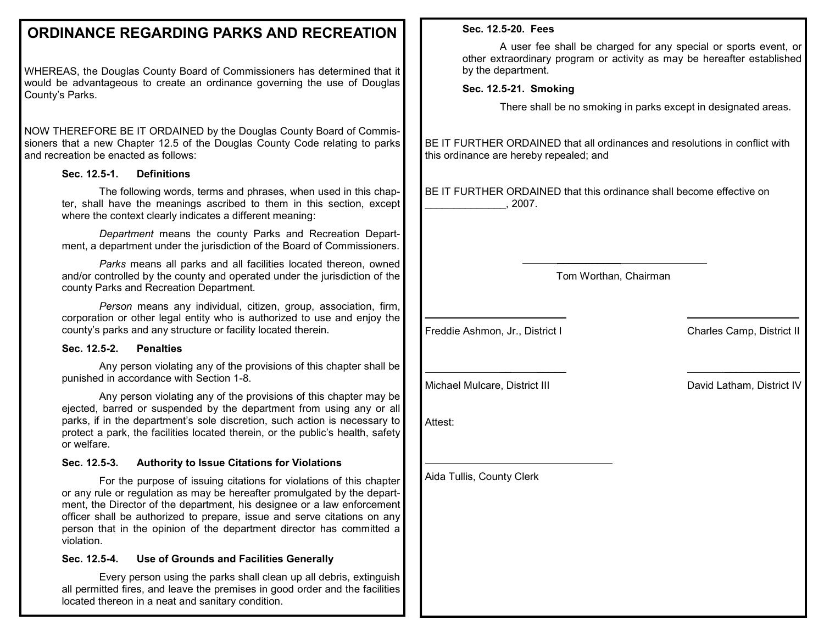# **ORDINANCE REGARDING PARKS AND RECREATION**

WHEREAS, the Douglas County Board of Commissioners has determined that it would be advantageous to create an ordinance governing the use of Douglas County's Parks.

NOW THEREFORE BE IT ORDAINED by the Douglas County Board of Commissioners that a new Chapter 12.5 of the Douglas County Code relating to parks and recreation be enacted as follows:

# **Sec. 12.5-1. Definitions**

 The following words, terms and phrases, when used in this chapter, shall have the meanings ascribed to them in this section, except where the context clearly indicates a different meaning:

*Department* means the county Parks and Recreation Department, a department under the jurisdiction of the Board of Commissioners.

*Parks* means all parks and all facilities located thereon, owned and/or controlled by the county and operated under the jurisdiction of the county Parks and Recreation Department.

*Person* means any individual, citizen, group, association, firm, corporation or other legal entity who is authorized to use and enjoy the county's parks and any structure or facility located therein.

### **Sec. 12.5-2. Penalties**

Any person violating any of the provisions of this chapter shall be punished in accordance with Section 1-8.

Any person violating any of the provisions of this chapter may be ejected, barred or suspended by the department from using any or all parks, if in the department's sole discretion, such action is necessary to protect a park, the facilities located therein, or the public's health, safety or welfare.

# **Sec. 12.5-3. Authority to Issue Citations for Violations**

 For the purpose of issuing citations for violations of this chapter or any rule or regulation as may be hereafter promulgated by the department, the Director of the department, his designee or a law enforcement officer shall be authorized to prepare, issue and serve citations on any person that in the opinion of the department director has committed a violation.

# **Sec. 12.5-4. Use of Grounds and Facilities Generally**

 Every person using the parks shall clean up all debris, extinguish all permitted fires, and leave the premises in good order and the facilities located thereon in a neat and sanitary condition.

# **Sec. 12.5-20. Fees**

 A user fee shall be charged for any special or sports event, or other extraordinary program or activity as may be hereafter established by the department.

# **Sec. 12.5-21. Smoking**

There shall be no smoking in parks except in designated areas.

BE IT FURTHER ORDAINED that all ordinances and resolutions in conflict with this ordinance are hereby repealed; and

BE IT FURTHER ORDAINED that this ordinance shall become effective on \_\_\_\_\_\_\_\_\_\_\_\_\_\_, 2007.

\_\_\_\_\_\_\_\_\_\_\_

Tom Worthan, Chairman

\_\_ \_\_\_\_\_ \_\_\_\_\_\_\_\_\_\_\_\_\_

 $\overline{\phantom{a}}$  , which is a set of the set of the set of the set of the set of the set of the set of the set of the set of the set of the set of the set of the set of the set of the set of the set of the set of the set of th Freddie Ashmon, Jr., District I Charles Camp, District II

Michael Mulcare, District III David Latham, District IV

Attest:

Aida Tullis, County Clerk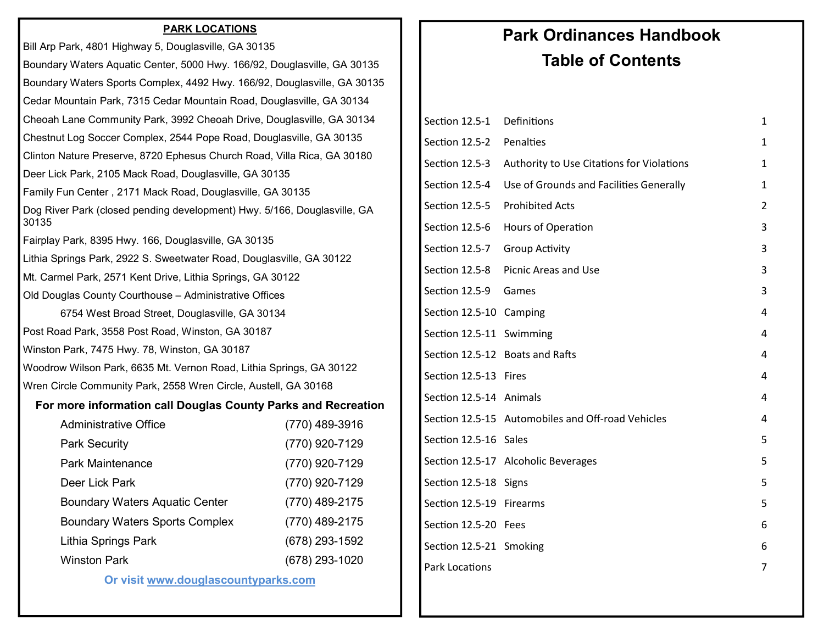# **PARK LOCATIONS**

| Bill Arp Park, 4801 Highway 5, Douglasville, GA 30135                             |  |
|-----------------------------------------------------------------------------------|--|
| Boundary Waters Aquatic Center, 5000 Hwy. 166/92, Douglasville, GA 30135          |  |
| Boundary Waters Sports Complex, 4492 Hwy. 166/92, Douglasville, GA 30135          |  |
| Cedar Mountain Park, 7315 Cedar Mountain Road, Douglasville, GA 30134             |  |
| Cheoah Lane Community Park, 3992 Cheoah Drive, Douglasville, GA 30134             |  |
| Chestnut Log Soccer Complex, 2544 Pope Road, Douglasville, GA 30135               |  |
| Clinton Nature Preserve, 8720 Ephesus Church Road, Villa Rica, GA 30180           |  |
| Deer Lick Park, 2105 Mack Road, Douglasville, GA 30135                            |  |
| Family Fun Center, 2171 Mack Road, Douglasville, GA 30135                         |  |
| Dog River Park (closed pending development) Hwy. 5/166, Douglasville, GA<br>30135 |  |
| Fairplay Park, 8395 Hwy. 166, Douglasville, GA 30135                              |  |
| Lithia Springs Park, 2922 S. Sweetwater Road, Douglasville, GA 30122              |  |
| Mt. Carmel Park, 2571 Kent Drive, Lithia Springs, GA 30122                        |  |
| Old Douglas County Courthouse - Administrative Offices                            |  |
| 6754 West Broad Street, Douglasville, GA 30134                                    |  |
| Post Road Park, 3558 Post Road, Winston, GA 30187                                 |  |
| Winston Park, 7475 Hwy. 78, Winston, GA 30187                                     |  |
| Woodrow Wilson Park, 6635 Mt. Vernon Road, Lithia Springs, GA 30122               |  |
| Wren Circle Community Park, 2558 Wren Circle, Austell, GA 30168                   |  |
| For more information call Douglas County Parks and Recreation                     |  |
| <b>Administrative Office</b><br>(770) 489-3916                                    |  |
| <b>Park Security</b><br>(770) 920-7129                                            |  |
| Park Maintenance<br>(770) 920-7129                                                |  |
| Deer Lick Park<br>(770) 920-7129                                                  |  |
| <b>Boundary Waters Aquatic Center</b><br>(770) 489-2175                           |  |
| <b>Boundary Waters Sports Complex</b><br>(770) 489-2175                           |  |
| Lithia Springs Park<br>(678) 293-1592                                             |  |
| <b>Winston Park</b><br>(678) 293-1020                                             |  |

**Or visit www.douglascountyparks.com** 

# **Park Ordinances Handbook Table of Contents**

| Definitions                                                 | 1 |
|-------------------------------------------------------------|---|
| Section 12.5-2 Penalties                                    | 1 |
| Section 12.5-3<br>Authority to Use Citations for Violations | 1 |
| Section 12.5-4<br>Use of Grounds and Facilities Generally   | 1 |
| <b>Prohibited Acts</b>                                      | 2 |
| Hours of Operation                                          | 3 |
| <b>Group Activity</b>                                       | 3 |
| Picnic Areas and Use                                        | 3 |
| Section 12.5-9<br>Games                                     | 3 |
| Section 12.5-10 Camping                                     | 4 |
| Section 12.5-11 Swimming                                    | 4 |
| Section 12.5-12 Boats and Rafts                             | 4 |
| Section 12.5-13 Fires                                       | 4 |
| Section 12.5-14 Animals                                     | 4 |
| Section 12.5-15 Automobiles and Off-road Vehicles           | 4 |
| Section 12.5-16 Sales                                       | 5 |
| Section 12.5-17 Alcoholic Beverages                         | 5 |
| Section 12.5-18 Signs                                       | 5 |
| Section 12.5-19 Firearms                                    | 5 |
| Section 12.5-20 Fees                                        | 6 |
| Section 12.5-21 Smoking                                     | 6 |
|                                                             | 7 |
|                                                             |   |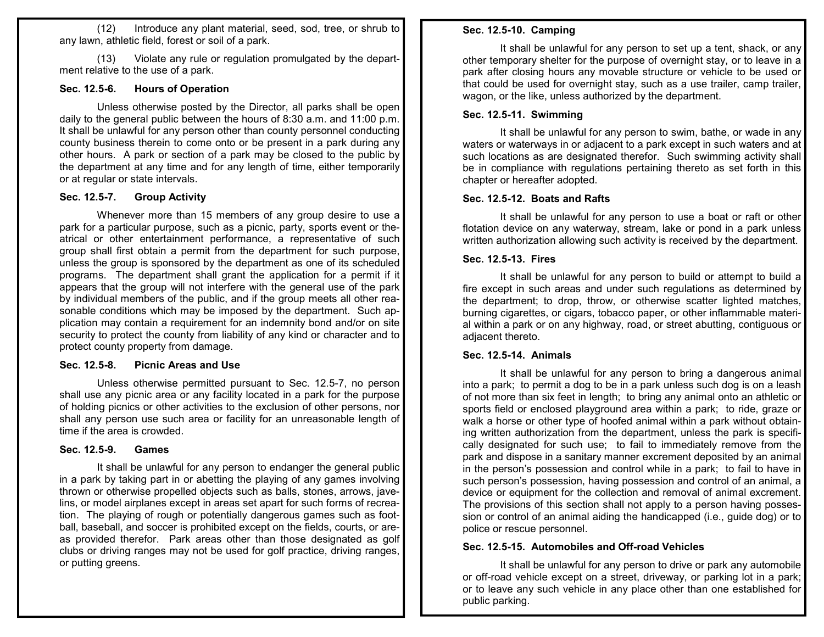(12) Introduce any plant material, seed, sod, tree, or shrub to any lawn, athletic field, forest or soil of a park.

 (13) Violate any rule or regulation promulgated by the department relative to the use of a park.

#### **Sec. 12.5-6. Hours of Operation**

 Unless otherwise posted by the Director, all parks shall be open daily to the general public between the hours of 8:30 a.m. and 11:00 p.m. It shall be unlawful for any person other than county personnel conducting county business therein to come onto or be present in a park during any other hours. A park or section of a park may be closed to the public by the department at any time and for any length of time, either temporarily or at regular or state intervals.

#### **Sec. 12.5-7. Group Activity**

Whenever more than 15 members of any group desire to use a park for a particular purpose, such as a picnic, party, sports event or theatrical or other entertainment performance, a representative of such group shall first obtain a permit from the department for such purpose, unless the group is sponsored by the department as one of its scheduled programs. The department shall grant the application for a permit if it appears that the group will not interfere with the general use of the park by individual members of the public, and if the group meets all other reasonable conditions which may be imposed by the department. Such application may contain a requirement for an indemnity bond and/or on site security to protect the county from liability of any kind or character and to protect county property from damage.

#### **Sec. 12.5-8. Picnic Areas and Use**

 Unless otherwise permitted pursuant to Sec. 12.5-7, no person shall use any picnic area or any facility located in a park for the purpose of holding picnics or other activities to the exclusion of other persons, nor shall any person use such area or facility for an unreasonable length of time if the area is crowded.

#### **Sec. 12.5-9. Games**

It shall be unlawful for any person to endanger the general public in a park by taking part in or abetting the playing of any games involving thrown or otherwise propelled objects such as balls, stones, arrows, javelins, or model airplanes except in areas set apart for such forms of recreation. The playing of rough or potentially dangerous games such as football, baseball, and soccer is prohibited except on the fields, courts, or areas provided therefor. Park areas other than those designated as golf clubs or driving ranges may not be used for golf practice, driving ranges, or putting greens.

#### **Sec. 12.5-10. Camping**

It shall be unlawful for any person to set up a tent, shack, or any other temporary shelter for the purpose of overnight stay, or to leave in a park after closing hours any movable structure or vehicle to be used or that could be used for overnight stay, such as a use trailer, camp trailer, wagon, or the like, unless authorized by the department.

#### **Sec. 12.5-11. Swimming**

 It shall be unlawful for any person to swim, bathe, or wade in any waters or waterways in or adjacent to a park except in such waters and at such locations as are designated therefor. Such swimming activity shall be in compliance with regulations pertaining thereto as set forth in this chapter or hereafter adopted.

#### **Sec. 12.5-12. Boats and Rafts**

 It shall be unlawful for any person to use a boat or raft or other flotation device on any waterway, stream, lake or pond in a park unless written authorization allowing such activity is received by the department.

#### **Sec. 12.5-13. Fires**

 It shall be unlawful for any person to build or attempt to build a fire except in such areas and under such regulations as determined by the department; to drop, throw, or otherwise scatter lighted matches, burning cigarettes, or cigars, tobacco paper, or other inflammable material within a park or on any highway, road, or street abutting, contiguous or adjacent thereto.

#### **Sec. 12.5-14. Animals**

It shall be unlawful for any person to bring a dangerous animal into a park; to permit a dog to be in a park unless such dog is on a leash of not more than six feet in length; to bring any animal onto an athletic or sports field or enclosed playground area within a park; to ride, graze or walk a horse or other type of hoofed animal within a park without obtaining written authorization from the department, unless the park is specifically designated for such use; to fail to immediately remove from the park and dispose in a sanitary manner excrement deposited by an animal in the person's possession and control while in a park; to fail to have in such person's possession, having possession and control of an animal, a device or equipment for the collection and removal of animal excrement. The provisions of this section shall not apply to a person having possession or control of an animal aiding the handicapped (i.e., guide dog) or to police or rescue personnel.

#### **Sec. 12.5-15. Automobiles and Off-road Vehicles**

It shall be unlawful for any person to drive or park any automobile or off-road vehicle except on a street, driveway, or parking lot in a park; or to leave any such vehicle in any place other than one established for public parking.